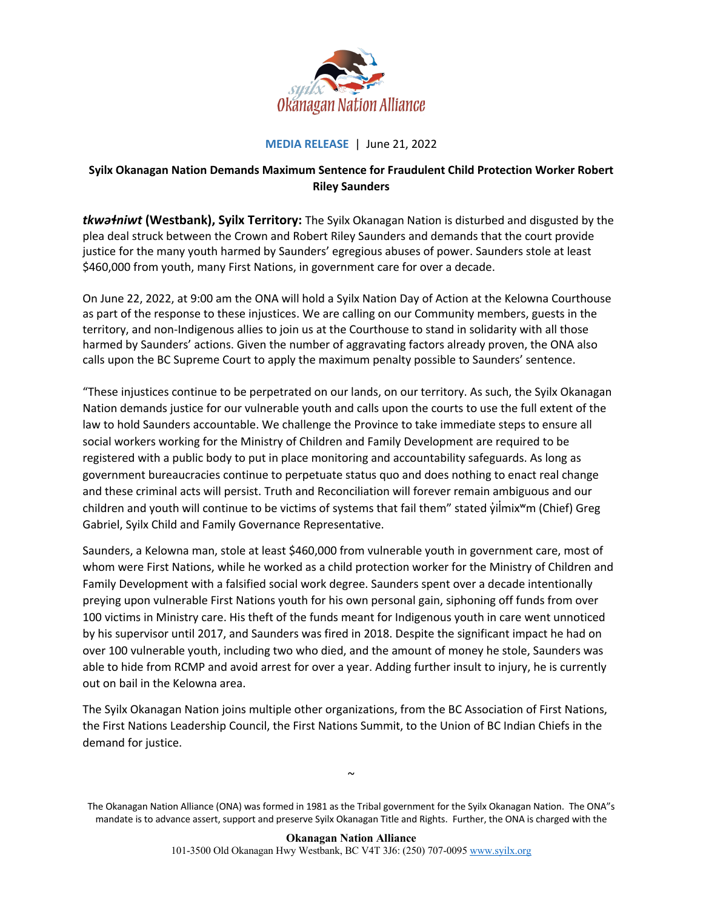

## **MEDIA RELEASE** | June 21, 2022

## **Syilx Okanagan Nation Demands Maximum Sentence for Fraudulent Child Protection Worker Robert Riley Saunders**

*tkwəɬniwt* **(Westbank), Syilx Territory:** The Syilx Okanagan Nation is disturbed and disgusted by the plea deal struck between the Crown and Robert Riley Saunders and demands that the court provide justice for the many youth harmed by Saunders' egregious abuses of power. Saunders stole at least \$460,000 from youth, many First Nations, in government care for over a decade.

On June 22, 2022, at 9:00 am the ONA will hold a Syilx Nation Day of Action at the Kelowna Courthouse as part of the response to these injustices. We are calling on our Community members, guests in the territory, and non-Indigenous allies to join us at the Courthouse to stand in solidarity with all those harmed by Saunders' actions. Given the number of aggravating factors already proven, the ONA also calls upon the BC Supreme Court to apply the maximum penalty possible to Saunders' sentence.

"These injustices continue to be perpetrated on our lands, on our territory. As such, the Syilx Okanagan Nation demands justice for our vulnerable youth and calls upon the courts to use the full extent of the law to hold Saunders accountable. We challenge the Province to take immediate steps to ensure all social workers working for the Ministry of Children and Family Development are required to be registered with a public body to put in place monitoring and accountability safeguards. As long as government bureaucracies continue to perpetuate status quo and does nothing to enact real change and these criminal acts will persist. Truth and Reconciliation will forever remain ambiguous and our children and youth will continue to be victims of systems that fail them" stated  $\gamma$ ilmix<sup>w</sup>m (Chief) Greg Gabriel, Syilx Child and Family Governance Representative.

Saunders, a Kelowna man, stole at least \$460,000 from vulnerable youth in government care, most of whom were First Nations, while he worked as a child protection worker for the Ministry of Children and Family Development with a falsified social work degree. Saunders spent over a decade intentionally preying upon vulnerable First Nations youth for his own personal gain, siphoning off funds from over 100 victims in Ministry care. His theft of the funds meant for Indigenous youth in care went unnoticed by his supervisor until 2017, and Saunders was fired in 2018. Despite the significant impact he had on over 100 vulnerable youth, including two who died, and the amount of money he stole, Saunders was able to hide from RCMP and avoid arrest for over a year. Adding further insult to injury, he is currently out on bail in the Kelowna area.

The Syilx Okanagan Nation joins multiple other organizations, from the BC Association of First Nations, the First Nations Leadership Council, the First Nations Summit, to the Union of BC Indian Chiefs in the demand for justice.

 $\sim$ 

The Okanagan Nation Alliance (ONA) was formed in 1981 as the Tribal government for the Syilx Okanagan Nation. The ONA"s mandate is to advance assert, support and preserve Syilx Okanagan Title and Rights. Further, the ONA is charged with the